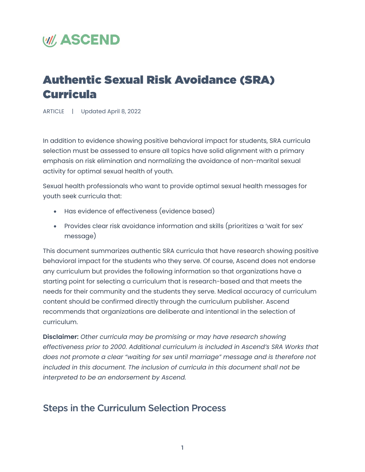# **WII, ASCEND**

## Authentic Sexual Risk Avoidance (SRA) Curricula

ARTICLE | Updated April 8, 2022

In addition to evidence showing positive behavioral impact for students, SRA curricula selection must be assessed to ensure all topics have solid alignment with a primary emphasis on risk elimination and normalizing the avoidance of non-marital sexual activity for optimal sexual health of youth.

Sexual health professionals who want to provide optimal sexual health messages for youth seek curricula that:

- Has evidence of effectiveness (evidence based)
- Provides clear risk avoidance information and skills (prioritizes a 'wait for sex' message)

This document summarizes authentic SRA curricula that have research showing positive behavioral impact for the students who they serve. Of course, Ascend does not endorse any curriculum but provides the following information so that organizations have a starting point for selecting a curriculum that is research-based and that meets the needs for their community and the students they serve. Medical accuracy of curriculum content should be confirmed directly through the curriculum publisher. Ascend recommends that organizations are deliberate and intentional in the selection of curriculum.

**Disclaimer:** *Other curricula may be promising or may have research showing effectiveness prior to 2000. Additional curriculum is included in Ascend's SRA Works that does not promote a clear "waiting for sex until marriage" message and is therefore not included in this document. The inclusion of curricula in this document shall not be interpreted to be an endorsement by Ascend.*

## Steps in the Curriculum Selection Process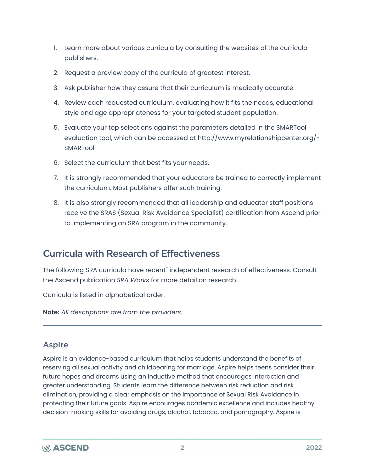- 1. Learn more about various curricula by consulting the websites of the curricula publishers.
- 2. Request a preview copy of the curricula of greatest interest.
- 3. Ask publisher how they assure that their curriculum is medically accurate.
- 4. Review each requested curriculum, evaluating how it fits the needs, educational style and age appropriateness for your targeted student population.
- 5. Evaluate your top selections against the parameters detailed in the SMARTool evaluation tool, which can be accessed at http://www.myrelationshipcenter.org/- SMARTool
- 6. Select the curriculum that best fits your needs.
- 7. It is strongly recommended that your educators be trained to correctly implement the curriculum. Most publishers offer such training.
- 8. It is also strongly recommended that all leadership and educator staff positions receive the SRAS (Sexual Risk Avoidance Specialist) certification from Ascend prior to implementing an SRA program in the community.

## Curricula with Research of Effectiveness

The following SRA curricula have recent<sup>[\\*](#page-7-0)</sup> independent research of effectiveness. Consult the Ascend publication *SRA Works* for more detail on research.

Curricula is listed in alphabetical order.

**Note:** *All descriptions are from the providers.*

## Aspire

Aspire is an evidence-based curriculum that helps students understand the benefits of reserving all sexual activity and childbearing for marriage. Aspire helps teens consider their future hopes and dreams using an inductive method that encourages interaction and greater understanding. Students learn the difference between risk reduction and risk elimination, providing a clear emphasis on the importance of Sexual Risk Avoidance in protecting their future goals. Aspire encourages academic excellence and includes healthy decision-making skills for avoiding drugs, alcohol, tobacco, and pornography. Aspire is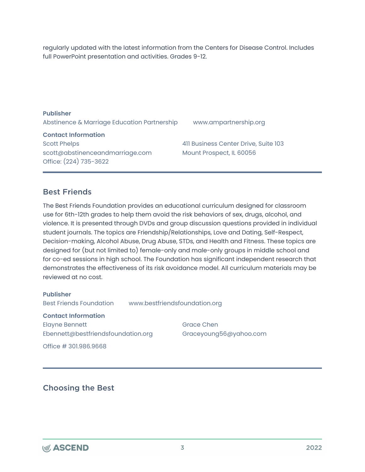regularly updated with the latest information from the Centers for Disease Control. Includes full PowerPoint presentation and activities. Grades 9-12.

| <b>Publisher</b><br>Abstinence & Marriage Education Partnership | www.ampartnership.org                |
|-----------------------------------------------------------------|--------------------------------------|
| <b>Contact Information</b>                                      |                                      |
| <b>Scott Phelps</b>                                             | 411 Business Center Drive, Suite 103 |
| scott@abstinenceandmarriage.com                                 | Mount Prospect, IL 60056             |
| Office: (224) 735-3622                                          |                                      |

## Best Friends

The Best Friends Foundation provides an educational curriculum designed for classroom use for 6th-12th grades to help them avoid the risk behaviors of sex, drugs, alcohol, and violence. It is presented through DVDs and group discussion questions provided in individual student journals. The topics are Friendship/Relationships, Love and Dating, Self-Respect, Decision-making, Alcohol Abuse, Drug Abuse, STDs, and Health and Fitness. These topics are designed for (but not limited to) female-only and male-only groups in middle school and for co-ed sessions in high school. The Foundation has significant independent research that demonstrates the effectiveness of its risk avoidance model. All curriculum materials may be reviewed at no cost.

**Publisher** Best Friends Foundation www.bestfriendsfoundation.org **Contact Information** Elayne Bennett

Ebennett@bestfriendsfoundation.org

Office # 301.986.9668

Grace Chen Graceyoung56@yahoo.com

## Choosing the Best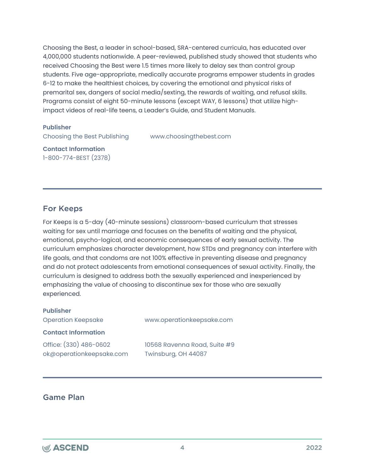Choosing the Best, a leader in school-based, SRA-centered curricula, has educated over 4,000,000 students nationwide. A peer-reviewed, published study showed that students who received Choosing the Best were 1.5 times more likely to delay sex than control group students. Five age-appropriate, medically accurate programs empower students in grades 6-12 to make the healthiest choices, by covering the emotional and physical risks of premarital sex, dangers of social media/sexting, the rewards of waiting, and refusal skills. Programs consist of eight 50-minute lessons (except WAY, 6 lessons) that utilize highimpact videos of real-life teens, a Leader's Guide, and Student Manuals.

#### **Publisher**

Choosing the Best Publishing www.choosingthebest.com

**Contact Information** 1-800-774-BEST (2378)

## For Keeps

For Keeps is a 5-day (40-minute sessions) classroom-based curriculum that stresses waiting for sex until marriage and focuses on the benefits of waiting and the physical, emotional, psycho-logical, and economic consequences of early sexual activity. The curriculum emphasizes character development, how STDs and pregnancy can interfere with life goals, and that condoms are not 100% effective in preventing disease and pregnancy and do not protect adolescents from emotional consequences of sexual activity. Finally, the curriculum is designed to address both the sexually experienced and inexperienced by emphasizing the value of choosing to discontinue sex for those who are sexually experienced.

| <b>Publisher</b>                                   |                                                     |
|----------------------------------------------------|-----------------------------------------------------|
| <b>Operation Keepsake</b>                          | www.operationkeepsake.com                           |
| <b>Contact Information</b>                         |                                                     |
| Office: (330) 486-0602<br>ok@operationkeepsake.com | 10568 Ravenna Road, Suite #9<br>Twinsburg, OH 44087 |

## Game Plan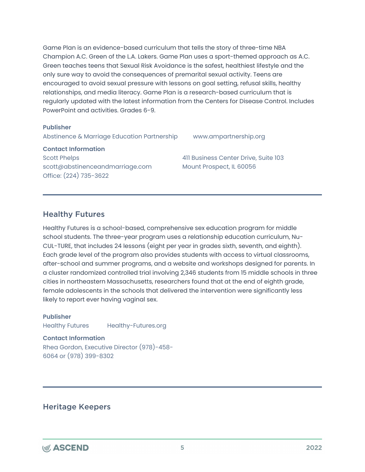Game Plan is an evidence-based curriculum that tells the story of three-time NBA Champion A.C. Green of the L.A. Lakers. Game Plan uses a sport-themed approach as A.C. Green teaches teens that Sexual Risk Avoidance is the safest, healthiest lifestyle and the only sure way to avoid the consequences of premarital sexual activity. Teens are encouraged to avoid sexual pressure with lessons on goal setting, refusal skills, healthy relationships, and media literacy. Game Plan is a research-based curriculum that is regularly updated with the latest information from the Centers for Disease Control. Includes PowerPoint and activities. Grades 6-9.

#### **Publisher**

Abstinence & Marriage Education Partnership www.ampartnership.org

**Contact Information**

Scott Phelps scott@abstinenceandmarriage.com Office: (224) 735-3622

411 Business Center Drive, Suite 103 Mount Prospect, IL 60056

## Healthy Futures

Healthy Futures is a school-based, comprehensive sex education program for middle school students. The three-year program uses a relationship education curriculum, Nu-CUL-TURE, that includes 24 lessons (eight per year in grades sixth, seventh, and eighth). Each grade level of the program also provides students with access to virtual classrooms, after-school and summer programs, and a website and workshops designed for parents. In a cluster randomized controlled trial involving 2,346 students from 15 middle schools in three cities in northeastern Massachusetts, researchers found that at the end of eighth grade, female adolescents in the schools that delivered the intervention were significantly less likely to report ever having vaginal sex.

#### **Publisher**

Healthy Futures Healthy-Futures.org

**Contact Information**

Rhea Gordon, Executive Director (978)-458- 6064 or (978) 399-8302

## Heritage Keepers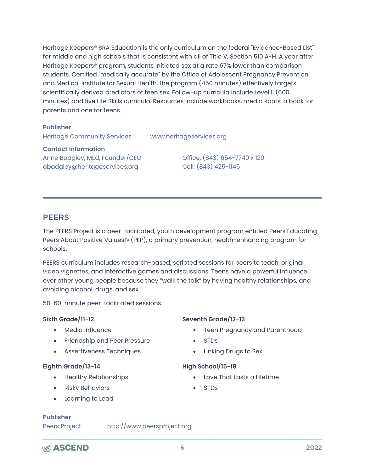Heritage Keepers® SRA Education is the only curriculum on the federal "Evidence-Based List" for middle and high schools that is consistent with all of Title V, Section 510 A-H. A year after Heritage Keepers® program, students initiated sex at a rate 67% lower than comparison students. Certified "medically accurate" by the Office of Adolescent Pregnancy Prevention and Medical Institute for Sexual Health, the program (450 minutes) effectively targets scientifically derived predictors of teen sex. Follow-up curricula include Level II (600 minutes) and five Life Skills curricula. Resources include workbooks, media spots, a book for parents and one for teens.

#### **Publisher**

Heritage Community Services www.heritageservices.org

#### **Contact Information**

Anne Badgley, MEd, Founder/CEO abadgley@heritageservices.org

Office: (843) 654-7740 x 120 Cell: (843) 425-1145

## **PEERS**

The PEERS Project is a peer-facilitated, youth development program entitled Peers Educating Peers About Positive Values© (PEP), a primary prevention, health-enhancing program for schools.

PEERS curriculum includes research-based, scripted sessions for peers to teach, original video vignettes, and interactive games and discussions. Teens have a powerful influence over other young people because they "walk the talk" by having healthy relationships, and avoiding alcohol, drugs, and sex.

50-60-minute peer-facilitated sessions.

#### **Sixth Grade/11-12**

- Media influence
- Friendship and Peer Pressure
- Assertiveness Techniques

#### **Eighth Grade/13-14**

- Healthy Relationships
- Risky Behaviors
- Learning to Lead

#### **Seventh Grade/12-13**

- Teen Pregnancy and Parenthood
- STDs
- Linking Drugs to Sex

#### **High School/15-18**

- Love That Lasts a Lifetime
- STDs

#### **Publisher**

Peers Project http://www.peersproject.org

## **W// ASCEND**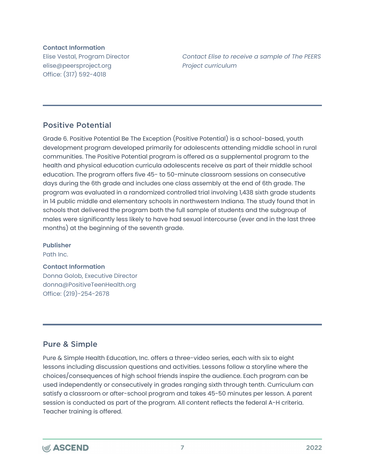#### **Contact Information**

Elise Vestal, Program Director elise@peersproject.org Office: (317) 592-4018

*Contact Elise to receive a sample of The PEERS Project curriculum*

## Positive Potential

Grade 6. Positive Potential Be The Exception (Positive Potential) is a school-based, youth development program developed primarily for adolescents attending middle school in rural communities. The Positive Potential program is offered as a supplemental program to the health and physical education curricula adolescents receive as part of their middle school education. The program offers five 45- to 50-minute classroom sessions on consecutive days during the 6th grade and includes one class assembly at the end of 6th grade. The program was evaluated in a randomized controlled trial involving 1,438 sixth grade students in 14 public middle and elementary schools in northwestern Indiana. The study found that in schools that delivered the program both the full sample of students and the subgroup of males were significantly less likely to have had sexual intercourse (ever and in the last three months) at the beginning of the seventh grade.

#### **Publisher**

Path Inc.

#### **Contact Information**

Donna Golob, Executive Director donna@PositiveTeenHealth.org Office: (219)-254-2678

## Pure & Simple

Pure & Simple Health Education, Inc. offers a three-video series, each with six to eight lessons including discussion questions and activities. Lessons follow a storyline where the choices/consequences of high school friends inspire the audience. Each program can be used independently or consecutively in grades ranging sixth through tenth. Curriculum can satisfy a classroom or after-school program and takes 45-50 minutes per lesson. A parent session is conducted as part of the program. All content reflects the federal A-H criteria. Teacher training is offered.